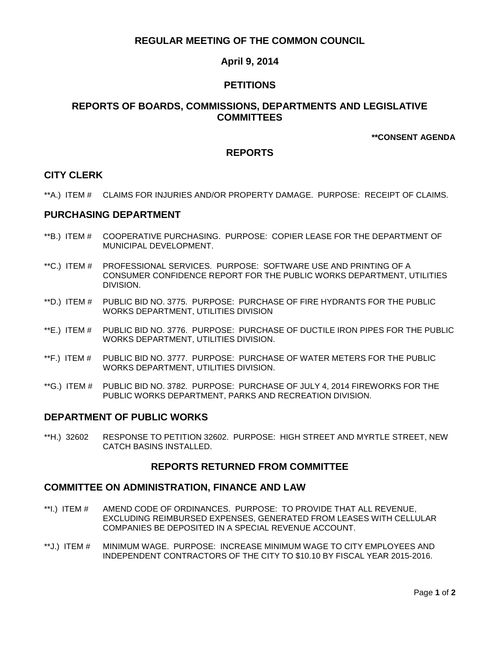# **REGULAR MEETING OF THE COMMON COUNCIL**

# **April 9, 2014**

# **PETITIONS**

## **REPORTS OF BOARDS, COMMISSIONS, DEPARTMENTS AND LEGISLATIVE COMMITTEES**

**\*\*CONSENT AGENDA**

# **REPORTS**

## **CITY CLERK**

\*\*A.) ITEM # CLAIMS FOR INJURIES AND/OR PROPERTY DAMAGE. PURPOSE: RECEIPT OF CLAIMS.

#### **PURCHASING DEPARTMENT**

- \*\*B.) ITEM # COOPERATIVE PURCHASING. PURPOSE: COPIER LEASE FOR THE DEPARTMENT OF MUNICIPAL DEVELOPMENT.
- \*\*C.) ITEM # PROFESSIONAL SERVICES. PURPOSE: SOFTWARE USE AND PRINTING OF A CONSUMER CONFIDENCE REPORT FOR THE PUBLIC WORKS DEPARTMENT, UTILITIES DIVISION.
- \*\*D.) ITEM # PUBLIC BID NO. 3775. PURPOSE: PURCHASE OF FIRE HYDRANTS FOR THE PUBLIC WORKS DEPARTMENT, UTILITIES DIVISION
- \*\*E.) ITEM # PUBLIC BID NO. 3776. PURPOSE: PURCHASE OF DUCTILE IRON PIPES FOR THE PUBLIC WORKS DEPARTMENT, UTILITIES DIVISION.
- \*\*F.) ITEM # PUBLIC BID NO. 3777. PURPOSE: PURCHASE OF WATER METERS FOR THE PUBLIC WORKS DEPARTMENT, UTILITIES DIVISION.
- \*\*G.) ITEM # PUBLIC BID NO. 3782. PURPOSE: PURCHASE OF JULY 4, 2014 FIREWORKS FOR THE PUBLIC WORKS DEPARTMENT, PARKS AND RECREATION DIVISION.

# **DEPARTMENT OF PUBLIC WORKS**

\*\*H.) 32602 RESPONSE TO PETITION 32602. PURPOSE: HIGH STREET AND MYRTLE STREET, NEW CATCH BASINS INSTALLED.

#### **REPORTS RETURNED FROM COMMITTEE**

#### **COMMITTEE ON ADMINISTRATION, FINANCE AND LAW**

- \*\*I.) ITEM # AMEND CODE OF ORDINANCES. PURPOSE: TO PROVIDE THAT ALL REVENUE, EXCLUDING REIMBURSED EXPENSES, GENERATED FROM LEASES WITH CELLULAR COMPANIES BE DEPOSITED IN A SPECIAL REVENUE ACCOUNT.
- \*\*J.) ITEM # MINIMUM WAGE. PURPOSE: INCREASE MINIMUM WAGE TO CITY EMPLOYEES AND INDEPENDENT CONTRACTORS OF THE CITY TO \$10.10 BY FISCAL YEAR 2015-2016.